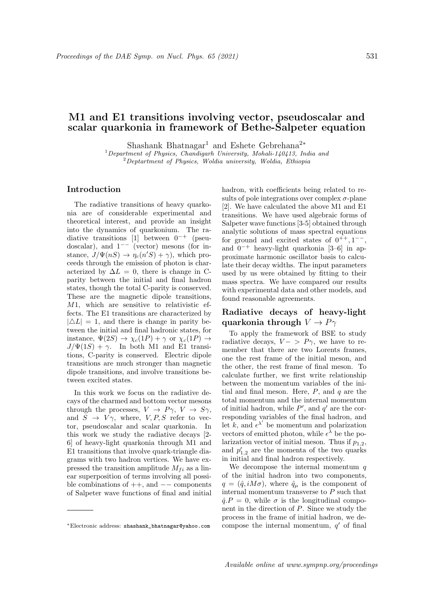# M1 and E1 transitions involving vector, pseudoscalar and scalar quarkonia in framework of Bethe-Salpeter equation

Shashank Bhatnagar<sup>1</sup> and Eshete Gebrehana<sup>2</sup><sup>∗</sup>

 $1$ Department of Physics, Chandigarh University, Mohali-140413, India and  $2$ Deptartment of Physics, Woldia university, Woldia, Ethiopia

#### Introduction

The radiative transitions of heavy quarkonia are of considerable experimental and theoretical interest, and provide an insight into the dynamics of quarkonium. The radiative transitions [1] between 0−<sup>+</sup> (pseudoscalar), and  $1^{--}$  (vector) mesons (for instance,  $J/\Psi(nS) \to \eta_c(n'S) + \gamma$ , which proceeds through the emission of photon is characterized by  $\Delta L = 0$ , there is change in Cparity between the initial and final hadron states, though the total C-parity is conserved. These are the magnetic dipole transitions, M1, which are sensitive to relativistic effects. The E1 transitions are characterized by  $|\Delta L| = 1$ , and there is change in parity between the initial and final hadronic states, for instance,  $\Psi(2S) \rightarrow \chi_c(1P) + \gamma$  or  $\chi_c(1P) \rightarrow$  $J/\Psi(1S) + \gamma$ . In both M1 and E1 transitions, C-parity is conserved. Electric dipole transitions are much stronger than magnetic dipole transitions, and involve transitions between excited states.

In this work we focus on the radiative decays of the charmed and bottom vector mesons through the processes,  $V \rightarrow P\gamma$ ,  $V \rightarrow S\gamma$ , and  $S \rightarrow V\gamma$ , where,  $V, P, S$  refer to vector, pseudoscalar and scalar quarkonia. In this work we study the radiative decays [2- 6] of heavy-light quarkonia through M1 and E1 transitions that involve quark-triangle diagrams with two hadron vertices. We have expressed the transition amplitude  $M_{fi}$  as a linear superposition of terms involving all possible combinations of  $++$ , and  $--$  components of Salpeter wave functions of final and initial

hadron, with coefficients being related to results of pole integrations over complex  $\sigma$ -plane [2]. We have calculated the above M1 and E1 transitions. We have used algebraic forms of Salpeter wave functions [3-5] obtained through analytic solutions of mass spectral equations for ground and excited states of  $0^{++}$ ,  $1^{--}$ , and 0<sup>−</sup><sup>+</sup> heavy-light quarkonia [3–6] in approximate harmonic oscillator basis to calculate their decay widths. The input parameters used by us were obtained by fitting to their mass spectra. We have compared our results with experimental data and other models, and found reasonable agreements.

## Radiative decays of heavy-light quarkonia through  $V \to P\gamma$

To apply the framework of BSE to study radiative decays,  $V - \sum P \gamma$ , we have to remember that there are two Lorents frames, one the rest frame of the initial meson, and the other, the rest frame of final meson. To calculate further, we first write relationship between the momentum variables of the initial and final meson. Here,  $P$ , and  $q$  are the total momentum and the internal momentum of initial hadron, while  $P'$ , and  $q'$  are the corresponding variables of the final hadron, and let k, and  $\epsilon^{\lambda'}$  be momentum and polarization vectors of emitted photon, while  $\epsilon^{\lambda}$  be the polarization vector of initial meson. Thus if  $p_{1,2}$ , and  $p'_{1,2}$  are the momenta of the two quarks in initial and final hadron respectively.

We decompose the internal momentum  $q$ of the initial hadron into two components,  $q = (\hat{q}, iM\sigma)$ , where  $\hat{q}_{\mu}$  is the component of internal momentum transverse to  $P$  such that  $\hat{q}P = 0$ , while  $\sigma$  is the longitudinal component in the direction of P. Since we study the process in the frame of initial hadron, we decompose the internal momentum,  $q'$  of final

<sup>∗</sup>Electronic address: shashank\_bhatnagar@yahoo.com